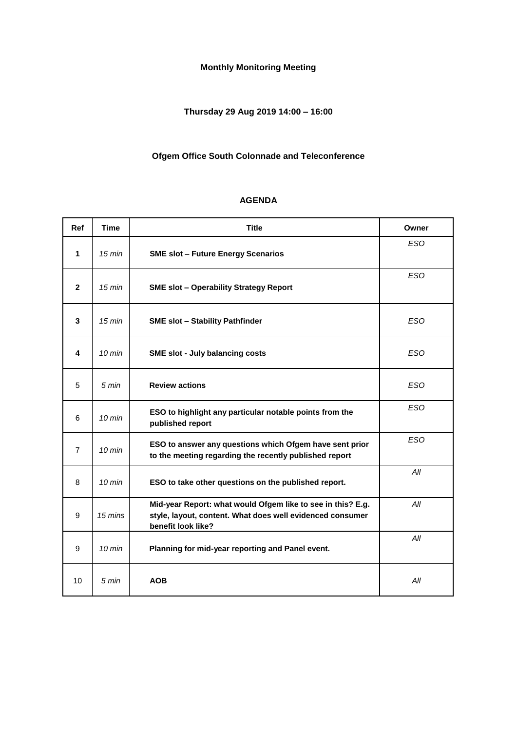# **Monthly Monitoring Meeting**

# **Thursday 29 Aug 2019 14:00 – 16:00**

### **Ofgem Office South Colonnade and Teleconference**

# **AGENDA**

| <b>Ref</b>     | <b>Time</b>      | <b>Title</b>                                                                                                                                   | Owner      |
|----------------|------------------|------------------------------------------------------------------------------------------------------------------------------------------------|------------|
| 1              | $15 \text{ min}$ | <b>SME slot - Future Energy Scenarios</b>                                                                                                      | <b>ESO</b> |
| $\mathbf{2}$   | $15 \text{ min}$ | <b>SME slot - Operability Strategy Report</b>                                                                                                  | <b>ESO</b> |
| 3              | $15 \text{ min}$ | <b>SME slot - Stability Pathfinder</b>                                                                                                         | <b>ESO</b> |
| 4              | $10 \text{ min}$ | <b>SME slot - July balancing costs</b>                                                                                                         | <b>ESO</b> |
| 5              | 5 min            | <b>Review actions</b>                                                                                                                          | <b>ESO</b> |
| 6              | $10 \text{ min}$ | ESO to highlight any particular notable points from the<br>published report                                                                    | <b>ESO</b> |
| $\overline{7}$ | $10 \text{ min}$ | ESO to answer any questions which Ofgem have sent prior<br>to the meeting regarding the recently published report                              | <b>ESO</b> |
| 8              | $10 \text{ min}$ | ESO to take other questions on the published report.                                                                                           | All        |
| 9              | 15 mins          | Mid-year Report: what would Ofgem like to see in this? E.g.<br>style, layout, content. What does well evidenced consumer<br>benefit look like? | All        |
| 9              | $10 \text{ min}$ | Planning for mid-year reporting and Panel event.                                                                                               | All        |
| 10             | 5 min            | <b>AOB</b>                                                                                                                                     | All        |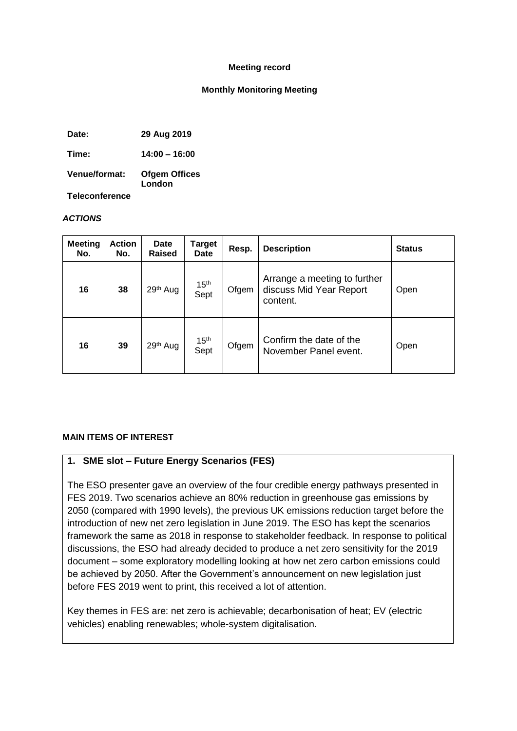#### **Meeting record**

#### **Monthly Monitoring Meeting**

**Date: 29 Aug 2019**

**Time: 14:00 – 16:00**

**Venue/format: Ofgem Offices London**

**Teleconference**

#### *ACTIONS*

| <b>Meeting</b><br>No. | <b>Action</b><br>No. | Date<br><b>Raised</b> | Target<br><b>Date</b>    | Resp. | <b>Description</b>                                                  | <b>Status</b> |
|-----------------------|----------------------|-----------------------|--------------------------|-------|---------------------------------------------------------------------|---------------|
| 16                    | 38                   | 29th Aug              | 15 <sup>th</sup><br>Sept | Ofgem | Arrange a meeting to further<br>discuss Mid Year Report<br>content. | Open          |
| 16                    | 39                   | 29 <sup>th</sup> Aug  | 15 <sup>th</sup><br>Sept | Ofgem | Confirm the date of the<br>November Panel event.                    | Open          |

#### **MAIN ITEMS OF INTEREST**

### **1. SME slot – Future Energy Scenarios (FES)**

The ESO presenter gave an overview of the four credible energy pathways presented in FES 2019. Two scenarios achieve an 80% reduction in greenhouse gas emissions by 2050 (compared with 1990 levels), the previous UK emissions reduction target before the introduction of new net zero legislation in June 2019. The ESO has kept the scenarios framework the same as 2018 in response to stakeholder feedback. In response to political discussions, the ESO had already decided to produce a net zero sensitivity for the 2019 document – some exploratory modelling looking at how net zero carbon emissions could be achieved by 2050. After the Government's announcement on new legislation just before FES 2019 went to print, this received a lot of attention.

Key themes in FES are: net zero is achievable; decarbonisation of heat; EV (electric vehicles) enabling renewables; whole-system digitalisation.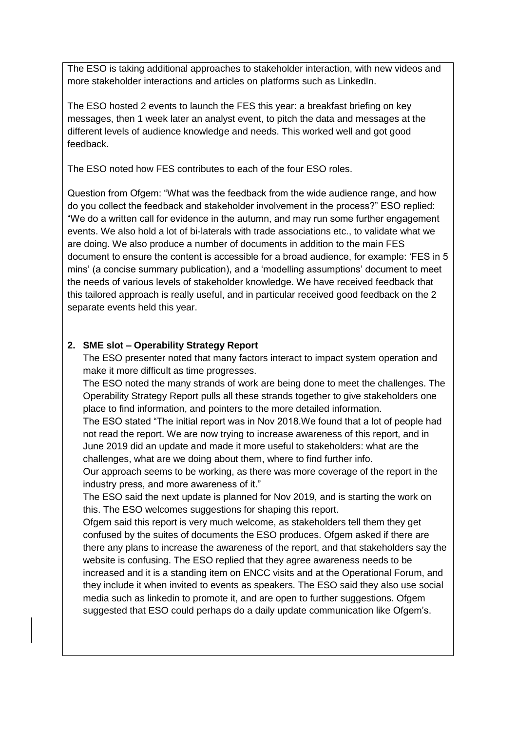The ESO is taking additional approaches to stakeholder interaction, with new videos and more stakeholder interactions and articles on platforms such as LinkedIn.

The ESO hosted 2 events to launch the FES this year: a breakfast briefing on key messages, then 1 week later an analyst event, to pitch the data and messages at the different levels of audience knowledge and needs. This worked well and got good feedback.

The ESO noted how FES contributes to each of the four ESO roles.

Question from Ofgem: "What was the feedback from the wide audience range, and how do you collect the feedback and stakeholder involvement in the process?" ESO replied: "We do a written call for evidence in the autumn, and may run some further engagement events. We also hold a lot of bi-laterals with trade associations etc., to validate what we are doing. We also produce a number of documents in addition to the main FES document to ensure the content is accessible for a broad audience, for example: 'FES in 5 mins' (a concise summary publication), and a 'modelling assumptions' document to meet the needs of various levels of stakeholder knowledge. We have received feedback that this tailored approach is really useful, and in particular received good feedback on the 2 separate events held this year.

### **2. SME slot – Operability Strategy Report**

The ESO presenter noted that many factors interact to impact system operation and make it more difficult as time progresses.

The ESO noted the many strands of work are being done to meet the challenges. The Operability Strategy Report pulls all these strands together to give stakeholders one place to find information, and pointers to the more detailed information.

The ESO stated "The initial report was in Nov 2018.We found that a lot of people had not read the report. We are now trying to increase awareness of this report, and in June 2019 did an update and made it more useful to stakeholders: what are the challenges, what are we doing about them, where to find further info.

Our approach seems to be working, as there was more coverage of the report in the industry press, and more awareness of it."

The ESO said the next update is planned for Nov 2019, and is starting the work on this. The ESO welcomes suggestions for shaping this report.

Ofgem said this report is very much welcome, as stakeholders tell them they get confused by the suites of documents the ESO produces. Ofgem asked if there are there any plans to increase the awareness of the report, and that stakeholders say the website is confusing. The ESO replied that they agree awareness needs to be increased and it is a standing item on ENCC visits and at the Operational Forum, and they include it when invited to events as speakers. The ESO said they also use social media such as linkedin to promote it, and are open to further suggestions. Ofgem suggested that ESO could perhaps do a daily update communication like Ofgem's.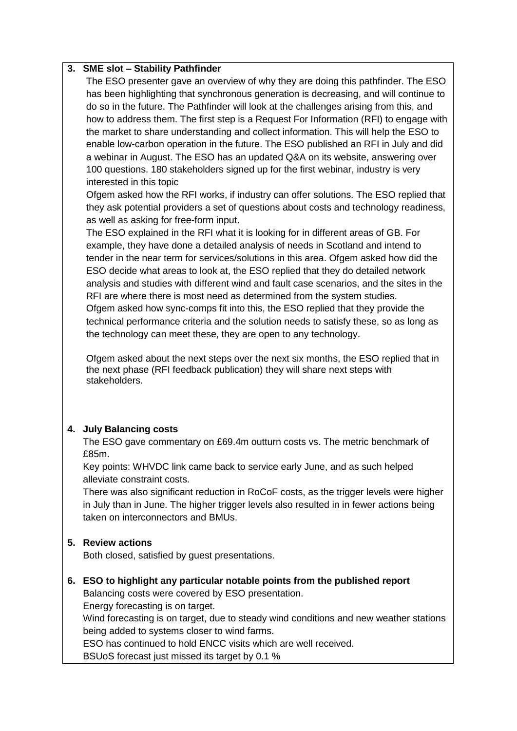### **3. SME slot – Stability Pathfinder**

The ESO presenter gave an overview of why they are doing this pathfinder. The ESO has been highlighting that synchronous generation is decreasing, and will continue to do so in the future. The Pathfinder will look at the challenges arising from this, and how to address them. The first step is a Request For Information (RFI) to engage with the market to share understanding and collect information. This will help the ESO to enable low-carbon operation in the future. The ESO published an RFI in July and did a webinar in August. The ESO has an updated Q&A on its website, answering over 100 questions. 180 stakeholders signed up for the first webinar, industry is very interested in this topic

Ofgem asked how the RFI works, if industry can offer solutions. The ESO replied that they ask potential providers a set of questions about costs and technology readiness, as well as asking for free-form input.

The ESO explained in the RFI what it is looking for in different areas of GB. For example, they have done a detailed analysis of needs in Scotland and intend to tender in the near term for services/solutions in this area. Ofgem asked how did the ESO decide what areas to look at, the ESO replied that they do detailed network analysis and studies with different wind and fault case scenarios, and the sites in the RFI are where there is most need as determined from the system studies. Ofgem asked how sync-comps fit into this, the ESO replied that they provide the technical performance criteria and the solution needs to satisfy these, so as long as the technology can meet these, they are open to any technology.

Ofgem asked about the next steps over the next six months, the ESO replied that in the next phase (RFI feedback publication) they will share next steps with stakeholders.

### **4. July Balancing costs**

The ESO gave commentary on £69.4m outturn costs vs. The metric benchmark of £85m.

Key points: WHVDC link came back to service early June, and as such helped alleviate constraint costs.

There was also significant reduction in RoCoF costs, as the trigger levels were higher in July than in June. The higher trigger levels also resulted in in fewer actions being taken on interconnectors and BMUs.

### **5. Review actions**

Both closed, satisfied by guest presentations.

# **6. ESO to highlight any particular notable points from the published report**

Balancing costs were covered by ESO presentation.

Energy forecasting is on target.

Wind forecasting is on target, due to steady wind conditions and new weather stations being added to systems closer to wind farms.

ESO has continued to hold ENCC visits which are well received.

BSUoS forecast just missed its target by 0.1 %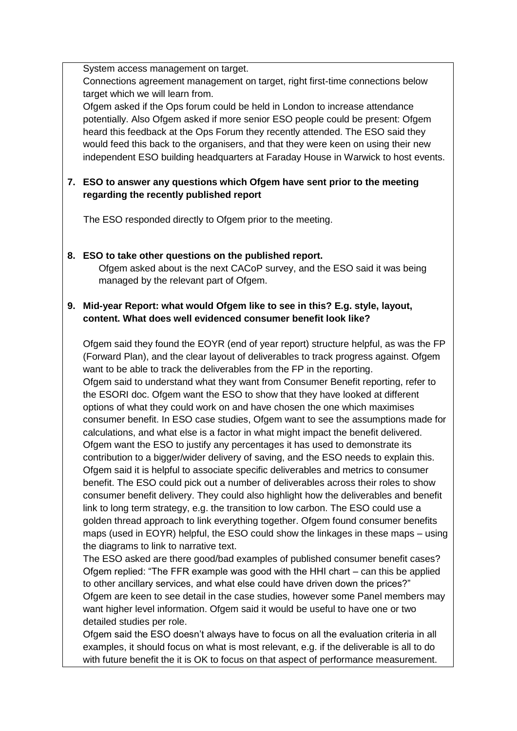System access management on target.

Connections agreement management on target, right first-time connections below target which we will learn from.

Ofgem asked if the Ops forum could be held in London to increase attendance potentially. Also Ofgem asked if more senior ESO people could be present: Ofgem heard this feedback at the Ops Forum they recently attended. The ESO said they would feed this back to the organisers, and that they were keen on using their new independent ESO building headquarters at Faraday House in Warwick to host events.

# **7. ESO to answer any questions which Ofgem have sent prior to the meeting regarding the recently published report**

The ESO responded directly to Ofgem prior to the meeting.

**8. ESO to take other questions on the published report.** Ofgem asked about is the next CACoP survey, and the ESO said it was being managed by the relevant part of Ofgem.

# **9. Mid-year Report: what would Ofgem like to see in this? E.g. style, layout, content. What does well evidenced consumer benefit look like?**

Ofgem said they found the EOYR (end of year report) structure helpful, as was the FP (Forward Plan), and the clear layout of deliverables to track progress against. Ofgem want to be able to track the deliverables from the FP in the reporting. Ofgem said to understand what they want from Consumer Benefit reporting, refer to the ESORI doc. Ofgem want the ESO to show that they have looked at different options of what they could work on and have chosen the one which maximises consumer benefit. In ESO case studies, Ofgem want to see the assumptions made for calculations, and what else is a factor in what might impact the benefit delivered. Ofgem want the ESO to justify any percentages it has used to demonstrate its contribution to a bigger/wider delivery of saving, and the ESO needs to explain this. Ofgem said it is helpful to associate specific deliverables and metrics to consumer benefit. The ESO could pick out a number of deliverables across their roles to show consumer benefit delivery. They could also highlight how the deliverables and benefit link to long term strategy, e.g. the transition to low carbon. The ESO could use a golden thread approach to link everything together. Ofgem found consumer benefits maps (used in EOYR) helpful, the ESO could show the linkages in these maps – using the diagrams to link to narrative text.

The ESO asked are there good/bad examples of published consumer benefit cases? Ofgem replied: "The FFR example was good with the HHI chart – can this be applied to other ancillary services, and what else could have driven down the prices?" Ofgem are keen to see detail in the case studies, however some Panel members may want higher level information. Ofgem said it would be useful to have one or two detailed studies per role.

Ofgem said the ESO doesn't always have to focus on all the evaluation criteria in all examples, it should focus on what is most relevant, e.g. if the deliverable is all to do with future benefit the it is OK to focus on that aspect of performance measurement.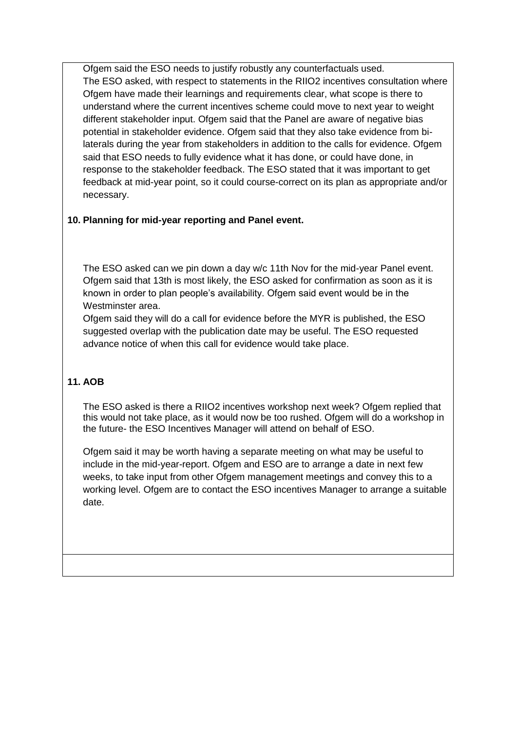Ofgem said the ESO needs to justify robustly any counterfactuals used. The ESO asked, with respect to statements in the RIIO2 incentives consultation where Ofgem have made their learnings and requirements clear, what scope is there to understand where the current incentives scheme could move to next year to weight different stakeholder input. Ofgem said that the Panel are aware of negative bias potential in stakeholder evidence. Ofgem said that they also take evidence from bilaterals during the year from stakeholders in addition to the calls for evidence. Ofgem said that ESO needs to fully evidence what it has done, or could have done, in response to the stakeholder feedback. The ESO stated that it was important to get feedback at mid-year point, so it could course-correct on its plan as appropriate and/or necessary.

## **10. Planning for mid-year reporting and Panel event.**

The ESO asked can we pin down a day w/c 11th Nov for the mid-year Panel event. Ofgem said that 13th is most likely, the ESO asked for confirmation as soon as it is known in order to plan people's availability. Ofgem said event would be in the Westminster area.

Ofgem said they will do a call for evidence before the MYR is published, the ESO suggested overlap with the publication date may be useful. The ESO requested advance notice of when this call for evidence would take place.

# **11. AOB**

The ESO asked is there a RIIO2 incentives workshop next week? Ofgem replied that this would not take place, as it would now be too rushed. Ofgem will do a workshop in the future- the ESO Incentives Manager will attend on behalf of ESO.

Ofgem said it may be worth having a separate meeting on what may be useful to include in the mid-year-report. Ofgem and ESO are to arrange a date in next few weeks, to take input from other Ofgem management meetings and convey this to a working level. Ofgem are to contact the ESO incentives Manager to arrange a suitable date.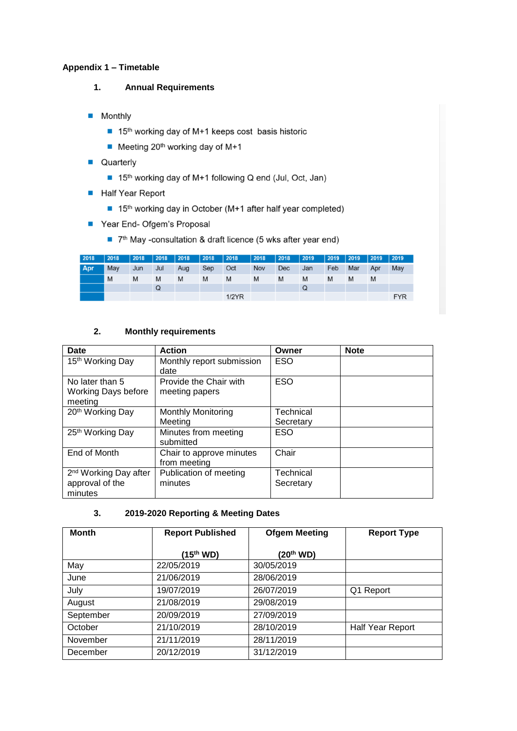### **Appendix 1 – Timetable**

- **1. Annual Requirements**
- **Monthly** 
	- 15<sup>th</sup> working day of M+1 keeps cost basis historic
	- $\blacksquare$  Meeting 20<sup>th</sup> working day of M+1
- **Quarterly** 
	- 15<sup>th</sup> working day of M+1 following Q end (Jul, Oct, Jan)
- Half Year Report
	- 15<sup>th</sup> working day in October (M+1 after half year completed)
- Year End- Ofgem's Proposal
	- 7<sup>th</sup> May -consultation & draft licence (5 wks after year end)

| 2018 | 2018 | 2018 | $ 2018\rangle$ | 2018 | $ 2018\rangle$ | $ 2018\rangle$ | 2018 | 2018       | $ 2019\rangle$ | $ 2019\rangle$ | $ 2019\rangle$ | $\sqrt{2019}$ | $ 2019\rangle$ |
|------|------|------|----------------|------|----------------|----------------|------|------------|----------------|----------------|----------------|---------------|----------------|
| Apr  | May  | Jun  | Jul            | Aug  | Sep            | Oct            | Nov  | <b>Dec</b> | Jan            | Feb            | Mar            | Apr           | May            |
|      | M    | M    | M              | M    | M              | M              | M    | M          | M              | M              | M              | M             |                |
|      |      |      | Q              |      |                |                |      |            | Q              |                |                |               |                |
|      |      |      |                |      |                | $1/2$ $YR$     |      |            |                |                |                |               | <b>FYR</b>     |

### **2. Monthly requirements**

| Date                              | <b>Action</b>             | Owner      | <b>Note</b> |
|-----------------------------------|---------------------------|------------|-------------|
| 15 <sup>th</sup> Working Day      | Monthly report submission | <b>ESO</b> |             |
|                                   | date                      |            |             |
| No later than 5                   | Provide the Chair with    | <b>ESO</b> |             |
| <b>Working Days before</b>        | meeting papers            |            |             |
| meeting                           |                           |            |             |
| 20 <sup>th</sup> Working Day      | <b>Monthly Monitoring</b> | Technical  |             |
|                                   | Meetina                   | Secretary  |             |
| 25th Working Day                  | Minutes from meeting      | <b>ESO</b> |             |
|                                   | submitted                 |            |             |
| End of Month                      | Chair to approve minutes  | Chair      |             |
|                                   | from meeting              |            |             |
| 2 <sup>nd</sup> Working Day after | Publication of meeting    | Technical  |             |
| approval of the                   | minutes                   | Secretary  |             |
| minutes                           |                           |            |             |

#### **3. 2019-2020 Reporting & Meeting Dates**

| <b>Month</b> | <b>Report Published</b> | <b>Ofgem Meeting</b>  | <b>Report Type</b> |  |
|--------------|-------------------------|-----------------------|--------------------|--|
|              | (15 <sup>th</sup> WD)   | (20 <sup>th</sup> WD) |                    |  |
| May          | 22/05/2019              | 30/05/2019            |                    |  |
| June         | 21/06/2019              | 28/06/2019            |                    |  |
| July         | 19/07/2019              | 26/07/2019            | Q1 Report          |  |
| August       | 21/08/2019              | 29/08/2019            |                    |  |
| September    | 20/09/2019              | 27/09/2019            |                    |  |
| October      | 21/10/2019              | 28/10/2019            | Half Year Report   |  |
| November     | 21/11/2019              | 28/11/2019            |                    |  |
| December     | 20/12/2019              | 31/12/2019            |                    |  |